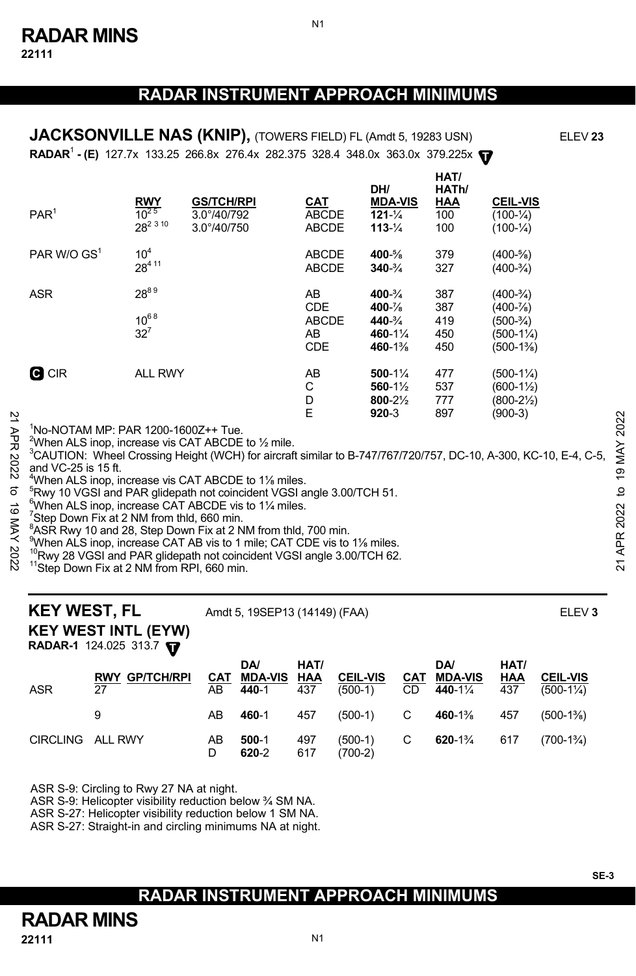N1

**RADAR<sup>1</sup> - (E)** 127.7x 133.25 266.8x 276.4x 282.375 328.4 348.0x 363.0x 379.225x  $\mathbf{\nabla}$ **JACKSONVILLE NAS (KNIP),** (TOWERS FIELD) FL (Amdt 5, 19283 USN) ELEV 23

| PAR <sup>1</sup> | $\frac{RWY}{10^{25}}$<br>28 <sup>2 3 10</sup> | <b>GS/TCH/RPI</b><br>$3.0^{\circ}/40/792$<br>3.0°/40/750 | <u>CAT</u><br><b>ABCDE</b><br><b>ABCDE</b>           | DH/<br><b>MDA-VIS</b><br>$121 - \frac{1}{4}$<br>$113 - \frac{1}{4}$                   | HAT/<br>HATh/<br>HAA<br>100<br>100 | <b>CEIL-VIS</b><br>$(100 - \frac{1}{4})$<br>$(100 - \frac{1}{4})$                 |
|------------------|-----------------------------------------------|----------------------------------------------------------|------------------------------------------------------|---------------------------------------------------------------------------------------|------------------------------------|-----------------------------------------------------------------------------------|
| PAR W/O $GS1$    | 10 <sup>4</sup><br>28411                      |                                                          | <b>ABCDE</b><br><b>ABCDE</b>                         | 400-%<br>$340 - \frac{3}{4}$                                                          | 379<br>327                         | $(400 - \frac{5}{8})$<br>$(400-3/4)$                                              |
| <b>ASR</b>       | 2889<br>$10^{68}$<br>$32^7$                   |                                                          | AB<br><b>CDE</b><br><b>ABCDE</b><br>AB<br><b>CDE</b> | $400 - \frac{3}{4}$<br>$400 - \frac{7}{8}$<br>$440 - \frac{3}{4}$<br>460-1%<br>460-1% | 387<br>387<br>419<br>450<br>450    | $(400-3/4)$<br>$(400 - \frac{7}{8})$<br>$(500-3/4)$<br>$(500-1\%)$<br>$(500-1\%)$ |
| <b>C</b> CIR     | <b>ALL RWY</b>                                |                                                          | AB<br>С<br>D<br>E                                    | $500-1\frac{1}{4}$<br>560-1½<br>800-21/2<br>$920 - 3$                                 | 477<br>537<br>777<br>897           | $(500-1\%)$<br>$(600-1\frac{1}{2})$<br>(800-2½)<br>(900-3)                        |

1 No-NOTAM MP: PAR 1200-1600Z++ Tue.

 $^{2}$ When ALS inop, increase vis CAT ABCDE to  $\frac{1}{2}$  mile.

3 CAUTION: Wheel Crossing Height (WCH) for aircraft similar to B-747/767/720/757, DC-10, A-300, KC-10, E-4, C-5, and VC-25 is 15 ft. 22  $\frac{1}{2}$ <br>  $\frac{1}{2}$  <sup>1</sup>No-NOTAM MP: PAR 1200-1600Z++ Tue.<br>
<sup>2</sup> <sup>2</sup>When ALS inop, increase vis CAT ABCDE to 1/<sub>2</sub> mile.<br>
<sup>2</sup> <sup>3</sup>CAUTION: Wheel Crossing Height (WCH) for aircraft similar to B-747/767/720/757, DC-10, A-3

 $^{4}$ When ALS inop, increase vis CAT ABCDE to 1<sup>1/</sup><sub>8</sub> miles.<br><sup>5</sup> Put 10 VCSL and RAB glidens that coincident VCSL at

<sup>5</sup>Rwy 10 VGSI and PAR glidepath not coincident VGSI angle 3.00/TCH 51.

 $6$ When ALS inop, increase CAT ABCDE vis to 1 $\frac{1}{4}$  miles.

<sup>7</sup>Step Down Fix at 2 NM from thld, 660 min.

 $8$ ASR Rwy 10 and 28, Step Down Fix at 2 NM from thld, 700 min.

When ALS inop, increase CAT AB vis to 1 mile; CAT CDE vis to 1% miles.

<sup>10</sup>Rwy 28 VGSI and PAR glidepath not coincident VGSI angle 3.00/TCH 62.<br><sup>11</sup>Step Down Fix at 2 NM from RPI, 660 min.

**KEY WEST, FL** Amdt 5, 19SEP13 (14149) (FAA) **ELEV 3** 

# **KEY WEST INTL (EYW)**

**RADAR-1** 124.025 313.7 **T** 

| ASR              | <b>RWY GP/TCH/RPI</b><br>27 | AB      | <b>DA</b><br>CAT MDA-VIS HAA<br>440-1 | HAT/<br>437 | <b>CEIL-VIS</b><br>$(500-1)$ | <b>DA</b><br><b>CAT MDA-VIS</b><br>CD 440-11/4    | HAT/<br>HAA<br>437 | <b>CEIL-VIS</b><br>$(500-1\frac{1}{4})$ |
|------------------|-----------------------------|---------|---------------------------------------|-------------|------------------------------|---------------------------------------------------|--------------------|-----------------------------------------|
|                  |                             | AB      | 460-1                                 | 457         |                              | $(500-1)$ C 460-1 <sup>3</sup> / <sub>8</sub> 457 |                    | $(500-1\%)$                             |
| CIRCLING ALL RWY |                             | AB<br>D | $500-1$<br>620-2                      | 497<br>617  | $(500-1)$ C<br>$(700-2)$     | <b>620-</b> 1 <sup>3</sup> / <sub>4</sub> 617     |                    | $(700-1\frac{3}{4})$                    |

ASR S-9: Circling to Rwy 27 NA at night.

ASR S-9: Helicopter visibility reduction below ¾ SM NA.

ASR S-27: Helicopter visibility reduction below 1 SM NA.

ASR S-27: Straight-in and circling minimums NA at night.

### **RADAR INSTRUMENT APPROACH MINIMUMS**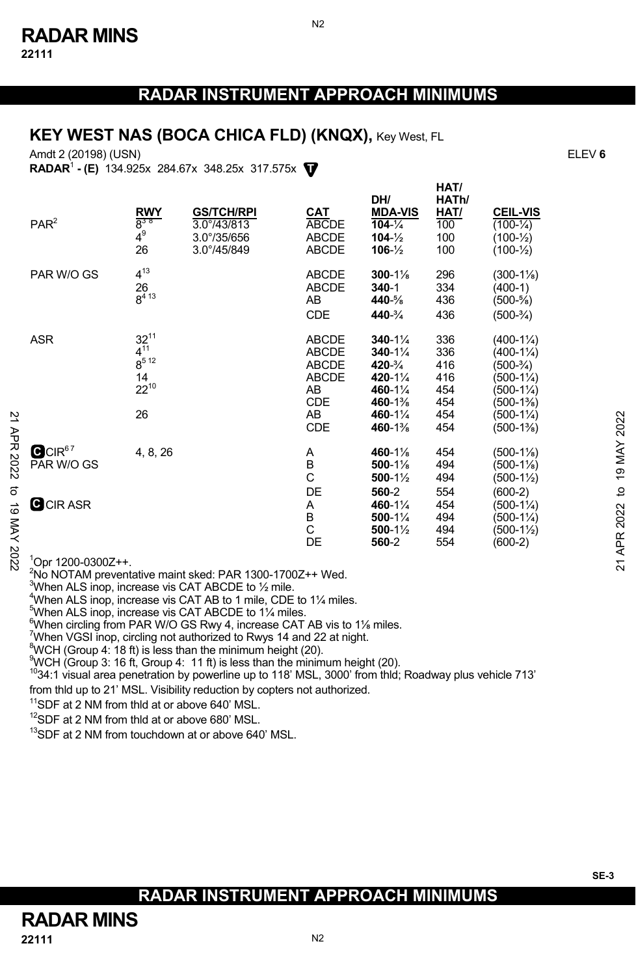N2

### **KEY WEST NAS (BOCA CHICA FLD) (KNQX), Key West, FL**

Amdt 2 (20198) (USN) ELEV **6**

**T RADAR**<sup>1</sup>  **- (E)** 134.925x 284.67x 348.25x 317.575x

|                  | PAR <sup>2</sup>                 | <b>RWY</b><br>$8^{38}$<br>$4^9$<br>26                       | <b>GS/TCH/RPI</b><br>3.0°/43/813<br>3.0°/35/656<br>3.0°/45/849 | <b>CAT</b><br>ABCDE<br><b>ABCDE</b><br><b>ABCDE</b>                                    | DH/<br><b>MDA-VIS</b><br>$104 - \frac{1}{4}$<br>$104 - \frac{1}{2}$<br>$106 - \frac{1}{2}$           | HATh/<br>HAT/<br>100<br>100<br>100                   | <b>CEIL-VIS</b><br>$(100 - \frac{1}{4})$<br>$(100 - \frac{1}{2})$<br>$(100 - \frac{1}{2})$                                                                        |                    |
|------------------|----------------------------------|-------------------------------------------------------------|----------------------------------------------------------------|----------------------------------------------------------------------------------------|------------------------------------------------------------------------------------------------------|------------------------------------------------------|-------------------------------------------------------------------------------------------------------------------------------------------------------------------|--------------------|
|                  | PAR W/O GS                       | $4^{13}$<br>26<br>$8^{413}$                                 |                                                                | <b>ABCDE</b><br><b>ABCDE</b><br>AB<br>CDE                                              | $300 - 1\%$<br>$340 - 1$<br>440-%<br>440-3/4                                                         | 296<br>334<br>436<br>436                             | $(300-1\%)$<br>$(400-1)$<br>$(500 - \frac{5}{8})$<br>$(500-3/4)$                                                                                                  |                    |
|                  | <b>ASR</b>                       | $32^{11}$<br>$4^{11}$<br>$8^{512}$<br>14<br>$22^{10}$<br>26 |                                                                | <b>ABCDE</b><br><b>ABCDE</b><br><b>ABCDE</b><br><b>ABCDE</b><br>AB<br>CDE<br>AB<br>CDE | $340 - 1\frac{1}{4}$<br>$340 - 1\%$<br>420-3/4<br>420-11/4<br>460-11/4<br>460-1%<br>460-1%<br>460-1% | 336<br>336<br>416<br>416<br>454<br>454<br>454<br>454 | $(400-1\frac{1}{4})$<br>$(400-1\frac{1}{4})$<br>$(500-3/4)$<br>$(500-1\frac{1}{4})$<br>$(500-1\frac{1}{4})$<br>$(500-1\%)$<br>$(500-1\frac{1}{4})$<br>$(500-1\%)$ | 2022               |
| 21 APR 2022<br>ಠ | QCIR <sup>67</sup><br>PAR W/O GS | 4, 8, 26                                                    |                                                                | Α<br>B<br>C<br>DE                                                                      | 460-1%<br>$500-1\%$<br>$500-1\frac{1}{2}$<br>560-2                                                   | 454<br>494<br>494<br>554                             | $(500-1\%)$<br>(500-11%)<br>$(500-1\frac{1}{2})$<br>$(600-2)$                                                                                                     | <b>19 MAY</b><br>đ |
| ಠ<br>MAY 202     | <b>C</b> CIR ASR                 |                                                             |                                                                | Α<br>В<br>C<br>DE                                                                      | 460-11/4<br>$500-1\%$<br>$500-1\frac{1}{2}$<br>560-2                                                 | 454<br>494<br>494<br>554                             | (500-1¼)<br>$(500-1\frac{1}{4})$<br>$(500-1\frac{1}{2})$<br>$(600-2)$                                                                                             | 2022<br><b>APR</b> |
|                  | $1$ Opr 1200-0300Z++.            |                                                             |                                                                |                                                                                        |                                                                                                      |                                                      |                                                                                                                                                                   | $\overline{z}$     |

<sup>2</sup>No NOTAM preventative maint sked: PAR 1300-1700Z++ Wed.

 $3$ When ALS inop, increase vis CAT ABCDE to  $\frac{1}{2}$  mile.

 $^{4}$ When ALS inop, increase vis CAT AB to 1 mile, CDE to 1 $\frac{1}{4}$  miles.

When ALS inop, increase vis CAT ABCDE to 1¼ miles.

 $^{6}$ When circling from PAR W/O GS Rwy 4, increase CAT AB vis to 1<sup>1</sup>/<sub>8</sub> miles.

<sup>7</sup>When VGSI inop, circling not authorized to Rwys 14 and 22 at night.

 ${}^{8}$ WCH (Group 4: 18 ft) is less than the minimum height (20).

 $\frac{9}{3}$ WCH (Group 3: 16 ft, Group 4: 11 ft) is less than the minimum height (20).

 $1034:1$  visual area penetration by powerline up to 118' MSL, 3000' from thld; Roadway plus vehicle 713'

from thld up to 21' MSL. Visibility reduction by copters not authorized.<br><sup>11</sup>SDF at 2 NM from thld at or above 640' MSL.

<sup>12</sup>SDF at 2 NM from thld at or above 680' MSL.

<sup>13</sup>SDF at 2 NM from touchdown at or above 640' MSL.

**HAT/**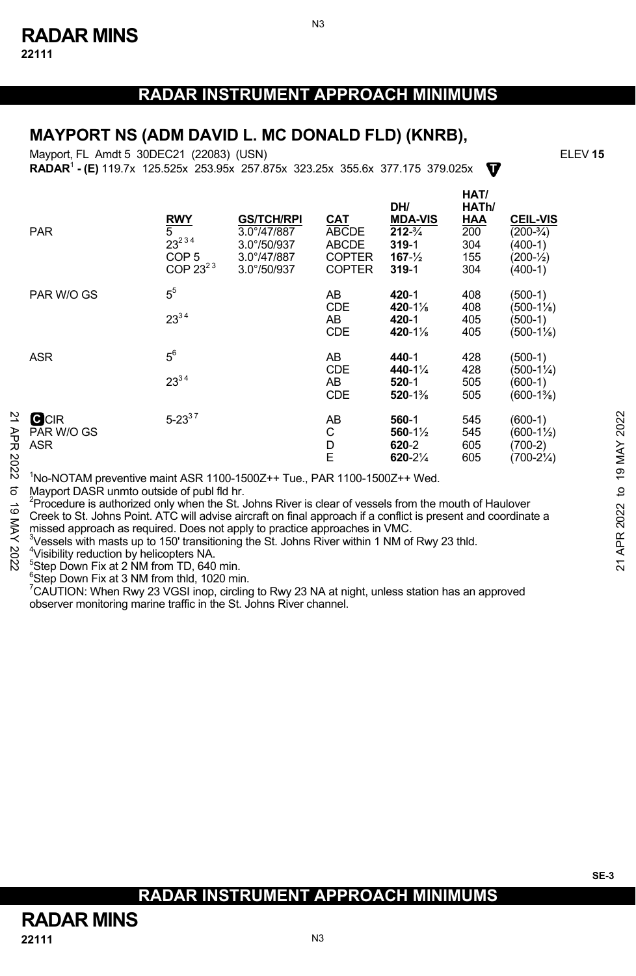N3

#### **MAYPORT NS (ADM DAVID L. MC DONALD FLD) (KNRB),**

**T** Mayport, FL Amdt 5 30DEC21 (22083) (USN) **RADAR**<sup>1</sup>  **- (E)** 119.7x 125.525x 253.95x 257.875x 323.25x 355.6x 377.175 379.025x

|                                           | <b>PAR</b>                                                                                                                                                                                                                                                                                                                                                                                                                                                                                                                                                                                                                                                | <b>RWY</b><br>5<br>$23^{234}$<br>COP <sub>5</sub><br>COP $23^{23}$ | <b>GS/TCH/RPI</b><br>$3.0^{\circ}/47/887$<br>$3.0^{\circ}/50/937$<br>$3.0^{\circ}/47/887$<br>$3.0^{\circ}/50/937$ | CAT<br><b>ABCDE</b><br><b>ABCDE</b><br><b>COPTER</b><br><b>COPTER</b> | DH/<br><b>MDA-VIS</b><br>$212 - \frac{3}{4}$<br>$319 - 1$<br>$167 - \frac{1}{2}$<br>$319 - 1$ | HAT/<br>HATh/<br>HAA<br>$\overline{200}$<br>304<br>155<br>304 | <b>CEIL-VIS</b><br>$(200-3/4)$<br>$(400-1)$<br>$(200 - \frac{1}{2})$<br>$(400-1)$ |                       |  |  |
|-------------------------------------------|-----------------------------------------------------------------------------------------------------------------------------------------------------------------------------------------------------------------------------------------------------------------------------------------------------------------------------------------------------------------------------------------------------------------------------------------------------------------------------------------------------------------------------------------------------------------------------------------------------------------------------------------------------------|--------------------------------------------------------------------|-------------------------------------------------------------------------------------------------------------------|-----------------------------------------------------------------------|-----------------------------------------------------------------------------------------------|---------------------------------------------------------------|-----------------------------------------------------------------------------------|-----------------------|--|--|
|                                           | PAR W/O GS                                                                                                                                                                                                                                                                                                                                                                                                                                                                                                                                                                                                                                                | 5 <sup>5</sup><br>$23^{34}$                                        |                                                                                                                   | AB<br><b>CDE</b><br>AB<br><b>CDE</b>                                  | 420-1<br>$420 - 1\%$<br>420-1<br>$420 - 1\%$                                                  | 408<br>408<br>405<br>405                                      | (500-1)<br>(500-11%)<br>(500-1)<br>$(500-1\%)$                                    |                       |  |  |
|                                           | <b>ASR</b>                                                                                                                                                                                                                                                                                                                                                                                                                                                                                                                                                                                                                                                | $5^6$<br>$23^{34}$                                                 |                                                                                                                   | AB<br><b>CDE</b><br>AB<br><b>CDE</b>                                  | 440-1<br>440-11/4<br>$520 - 1$<br>$520 - 1\%$                                                 | 428<br>428<br>505<br>505                                      | $(500-1)$<br>(500-1¼)<br>(600-1)<br>(600-1%)                                      |                       |  |  |
| ⊵<br>ЯPR<br>2022                          | <b>C</b> CIR<br>PAR W/O GS<br>ASR                                                                                                                                                                                                                                                                                                                                                                                                                                                                                                                                                                                                                         | $5 - 23^{37}$                                                      |                                                                                                                   | AB<br>С<br>D<br>E                                                     | 560-1<br>$560 - 1\frac{1}{2}$<br>620-2<br>$620 - 2\frac{1}{4}$                                | 545<br>545<br>605<br>605                                      | $(600-1)$<br>$(600-1\frac{1}{2})$<br>$(700-2)$<br>$(700-2\frac{1}{4})$            | 2022<br><b>19 MAY</b> |  |  |
| ಕ<br>6<br>$\overline{\mathsf{X}}$<br>2022 | 'No-NOTAM preventive maint ASR 1100-1500Z++ Tue., PAR 1100-1500Z++ Wed.<br>Mayport DASR unmto outside of publ fld hr.<br>Procedure is authorized only when the St. Johns River is clear of vessels from the mouth of Haulover<br>Creek to St. Johns Point. ATC will advise aircraft on final approach if a conflict is present and coordinate a<br>missed approach as required. Does not apply to practice approaches in VMC.<br><sup>3</sup> Vessels with masts up to 150' transitioning the St. Johns River within 1 NM of Rwy 23 thld.<br><sup>4</sup> Visibility reduction by helicopters NA.<br><sup>5</sup> Step Down Fix at 2 NM from TD, 640 min. |                                                                    |                                                                                                                   |                                                                       |                                                                                               |                                                               |                                                                                   |                       |  |  |

 $5$ Step Down Fix at 2 NM from TD, 640 min.

 $6$ Step Down Fix at 3 NM from thld, 1020 min.

 $\mathrm{7}$ CAUTION: When Rwy 23 VGSI inop, circling to Rwy 23 NA at night, unless station has an approved observer monitoring marine traffic in the St. Johns River channel.

### **RADAR INSTRUMENT APPROACH MINIMUMS**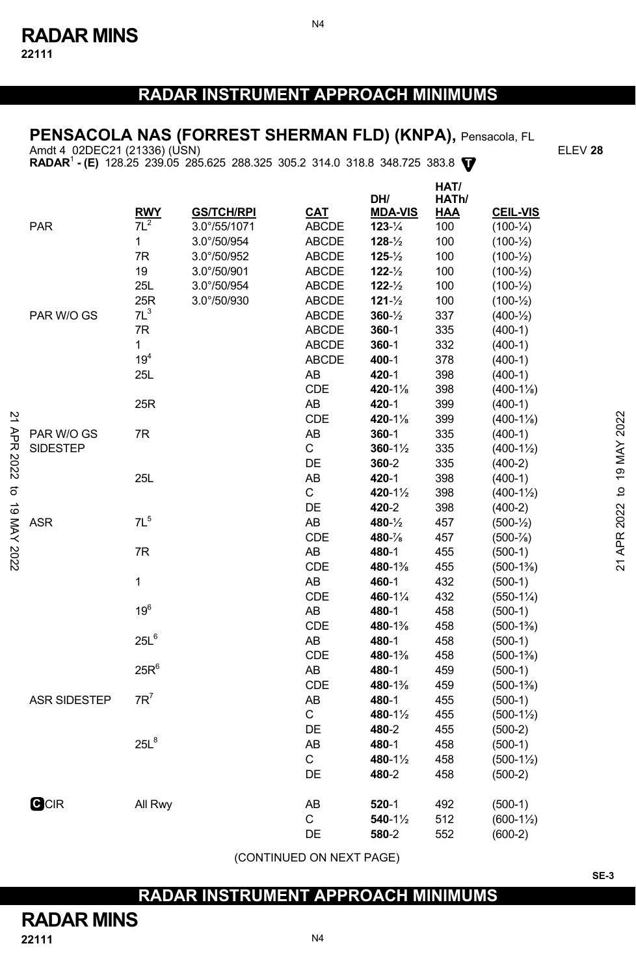# **PENSACOLA NAS (FORREST SHERMAN FLD) (KNPA),** Pensacola, FL

Amdt 4 02DEC21 (21336) (USN) ELEV **28** 

**RADAR**<sup>1</sup>  **- (E)** 128.25 239.05 285.625 288.325 305.2 314.0 318.8 348.725 383.8 **T**

|                         |                     | <b>RWY</b>       | <b>GS/TCH/RPI</b> | CAT          | DH/<br><b>MDA-VIS</b> | HAT/<br>HATh/<br><b>HAA</b> | <b>CEIL-VIS</b>       |                         |
|-------------------------|---------------------|------------------|-------------------|--------------|-----------------------|-----------------------------|-----------------------|-------------------------|
|                         | <b>PAR</b>          | $7L^2$           | 3.0°/55/1071      | <b>ABCDE</b> | $123 - \frac{1}{4}$   | 100                         | $(100 - \frac{1}{4})$ |                         |
|                         |                     | 1                | 3.0°/50/954       | <b>ABCDE</b> | $128 - \frac{1}{2}$   | 100                         | $(100 - \frac{1}{2})$ |                         |
|                         |                     | 7R               | 3.0°/50/952       | ABCDE        | $125 - \frac{1}{2}$   | 100                         | $(100 - \frac{1}{2})$ |                         |
|                         |                     | 19               | 3.0°/50/901       | ABCDE        | $122 - \frac{1}{2}$   | 100                         | $(100 - \frac{1}{2})$ |                         |
|                         |                     | 25L              | 3.0°/50/954       | <b>ABCDE</b> | $122 - \frac{1}{2}$   | 100                         | $(100 - \frac{1}{2})$ |                         |
|                         |                     | 25R              | 3.0°/50/930       | <b>ABCDE</b> | $121 - \frac{1}{2}$   | 100                         | $(100 - \frac{1}{2})$ |                         |
|                         | PAR W/O GS          | $7L^3$           |                   | ABCDE        | $360 - \frac{1}{2}$   | 337                         | $(400-1/2)$           |                         |
|                         |                     | 7R               |                   | <b>ABCDE</b> | $360 - 1$             | 335                         | $(400-1)$             |                         |
|                         |                     | 1                |                   | <b>ABCDE</b> | $360 - 1$             | 332                         | $(400-1)$             |                         |
|                         |                     | 19 <sup>4</sup>  |                   | <b>ABCDE</b> | 400-1                 | 378                         | $(400-1)$             |                         |
|                         |                     | 25L              |                   | AB           | 420-1                 | 398                         | $(400-1)$             |                         |
|                         |                     |                  |                   | CDE          | 420-1%                | 398                         | $(400-1\%)$           |                         |
|                         |                     | 25R              |                   | AB           | 420-1                 | 399                         | $(400-1)$             |                         |
|                         |                     |                  |                   | CDE          | 420-1%                | 399                         | $(400-1\%)$           |                         |
|                         | PAR W/O GS          | 7R               |                   | AB           | 360-1                 | 335                         | $(400-1)$             |                         |
|                         | <b>SIDESTEP</b>     |                  |                   | C            | $360 - 1\frac{1}{2}$  | 335                         | $(400-1\frac{1}{2})$  |                         |
|                         |                     |                  |                   | DE           | 360-2                 | 335                         | $(400-2)$             |                         |
|                         |                     | 25L              |                   | AB           | 420-1                 | 398                         | $(400-1)$             |                         |
|                         |                     |                  |                   | C            | 420-11/2              | 398                         | $(400-1\frac{1}{2})$  |                         |
|                         |                     |                  |                   | DE           | 420-2                 | 398                         | $(400-2)$             |                         |
|                         | <b>ASR</b>          | 7L <sup>5</sup>  |                   | AB           | 480-1/2               | 457                         | $(500-1/2)$           | APR 2022 to 19 MAY 2022 |
|                         |                     |                  |                   | CDE          | 480-%                 | 457                         | $(500 - \frac{7}{8})$ |                         |
| APR 2022 to 19 MAY 2022 |                     | 7R               |                   | AB           | 480-1                 | 455                         | $(500-1)$             |                         |
|                         |                     |                  |                   | CDE          | 480-1%                | 455                         | $(500-1\%)$           | $\overline{2}$          |
|                         |                     | $\mathbf{1}$     |                   | AB           | 460-1                 | 432                         | $(500-1)$             |                         |
|                         |                     |                  |                   | CDE          | 460-11/4              | 432                         | $(550-1\%)$           |                         |
|                         |                     | 19 <sup>6</sup>  |                   | AB           | 480-1                 | 458                         | $(500-1)$             |                         |
|                         |                     |                  |                   | CDE          | 480-1%                | 458                         | $(500-1\%)$           |                         |
|                         |                     | 25L <sup>6</sup> |                   | AB           | 480-1                 | 458                         | $(500-1)$             |                         |
|                         |                     |                  |                   | CDE          | 480-1%                | 458                         | $(500-1\%)$           |                         |
|                         |                     | $25R^6$          |                   | AB           | 480-1                 | 459                         | $(500-1)$             |                         |
|                         |                     |                  |                   | CDE          | 480-1%                | 459                         | $(500-1\%)$           |                         |
|                         | <b>ASR SIDESTEP</b> | $7R^7$           |                   | AB           | 480-1                 | 455                         | $(500-1)$             |                         |
|                         |                     |                  |                   | C            | 480-1½                | 455                         | $(500-1\frac{1}{2})$  |                         |
|                         |                     |                  |                   | DE           | 480-2                 | 455                         | $(500-2)$             |                         |
|                         |                     | $25L^8$          |                   | AB           | 480-1                 | 458                         | $(500-1)$             |                         |
|                         |                     |                  |                   | C            | 480-1½                | 458                         | $(500-1\frac{1}{2})$  |                         |
|                         |                     |                  |                   | DE           | 480-2                 | 458                         | $(500-2)$             |                         |
|                         | <b>GCIR</b>         | All Rwy          |                   | AB           | $520 - 1$             | 492                         | $(500-1)$             |                         |
|                         |                     |                  |                   | C            | 540-11/2              | 512                         | $(600-1\frac{1}{2})$  |                         |
|                         |                     |                  |                   | DE           | 580-2                 | 552                         | $(600-2)$             |                         |
|                         |                     |                  |                   |              |                       |                             |                       |                         |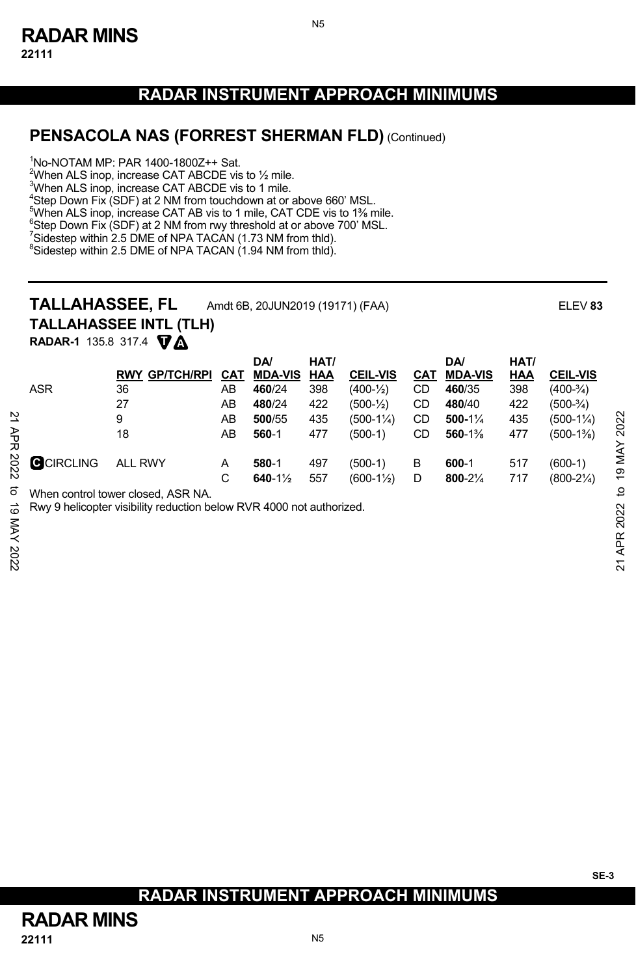N5

#### **PENSACOLA NAS (FORREST SHERMAN FLD)** (Continued)

1 No-NOTAM MP: PAR 1400-1800Z++ Sat.

When ALS inop, increase CAT ABCDE vis to  $\frac{1}{2}$  mile. When ALS inop, increase CAT ABCDE vis to 1 mile. Step Down Fix (SDF) at 2 NM from touchdown at or above 660' MSL. <sup>5</sup>When ALS inop, increase CAT AB vis to 1 mile, CAT CDE vis to 1<sup>36</sup> mile.<br><sup>6</sup>Step Doug Fix (SDE) at 2 NM from nay threshold at a shows 700' MSL Step Down Fix (SDF) at 2 NM from rwy threshold at or above 700' MSL.

 $^7$ Sidestep within 2.5 DME of NPA TACAN (1.73 NM from thld).<br><sup>8</sup>Sidestep within 2.5 DME of NPA TACAN (1.04 NM from thld).

<sup>8</sup>Sidestep within 2.5 DME of NPA TACAN (1.94 NM from thld).

# **TALLAHASSEE, FL** Amdt 6B, 20JUN2019 (19171) (FAA) ELEV **<sup>83</sup>**

**TALLAHASSEE INTL (TLH)**

**T A RADAR-1** 135.8 317.4

|      |                  |                                                                      |     | DA/                 | HAT/ |                       |            | <b>DA</b>      | HAT/ |                      |            |
|------|------------------|----------------------------------------------------------------------|-----|---------------------|------|-----------------------|------------|----------------|------|----------------------|------------|
|      |                  | <b>GP/TCH/RPI</b><br><b>RWY</b>                                      | CAT | <b>MDA-VIS</b>      | HAA  | <b>CEIL-VIS</b>       | <u>CAT</u> | <b>MDA-VIS</b> | HAA  | <b>CEIL-VIS</b>      |            |
|      | <b>ASR</b>       | 36                                                                   | AB  | 460/24              | 398  | $(400-1/2)$           | CD         | 460/35         | 398  | $(400-3/4)$          |            |
|      |                  | 27                                                                   | AB  | 480/24              | 422  | $(500 - \frac{1}{2})$ | CD         | 480/40         | 422  | $(500-3/4)$          |            |
|      |                  | 9                                                                    | AB  | 500/55              | 435  | $(500-1\%)$           | CD         | $500-1\%$      | 435  | $(500-1\frac{1}{4})$ | 2022       |
| ЯPR  |                  | 18                                                                   | AB  | 560-1               | 477  | $(500-1)$             | CD         | 560-1%         | 477  | $(500-1\%)$          |            |
| 2022 | <b>GCIRCLING</b> | <b>ALL RWY</b>                                                       | A   | 580-1               | 497  | $(500-1)$             | В          | 600-1          | 517  | $(600-1)$            | 19 MAY     |
|      |                  |                                                                      | C   | 640-1 $\frac{1}{2}$ | 557  | $(600-1\frac{1}{2})$  | D          | 800-21/4       | 717  | $(800-2\frac{1}{4})$ |            |
| ಕ    |                  | When control tower closed. ASR NA.                                   |     |                     |      |                       |            |                |      |                      | đ          |
| ಸ    |                  | Rwy 9 helicopter visibility reduction below RVR 4000 not authorized. |     |                     |      |                       |            |                |      |                      | 2022       |
| XAN  |                  |                                                                      |     |                     |      |                       |            |                |      |                      |            |
|      |                  |                                                                      |     |                     |      |                       |            |                |      |                      | <b>APR</b> |
| 2022 |                  |                                                                      |     |                     |      |                       |            |                |      |                      |            |
|      |                  |                                                                      |     |                     |      |                       |            |                |      |                      | ম          |

# **RADAR INSTRUMENT APPROACH MINIMUMS**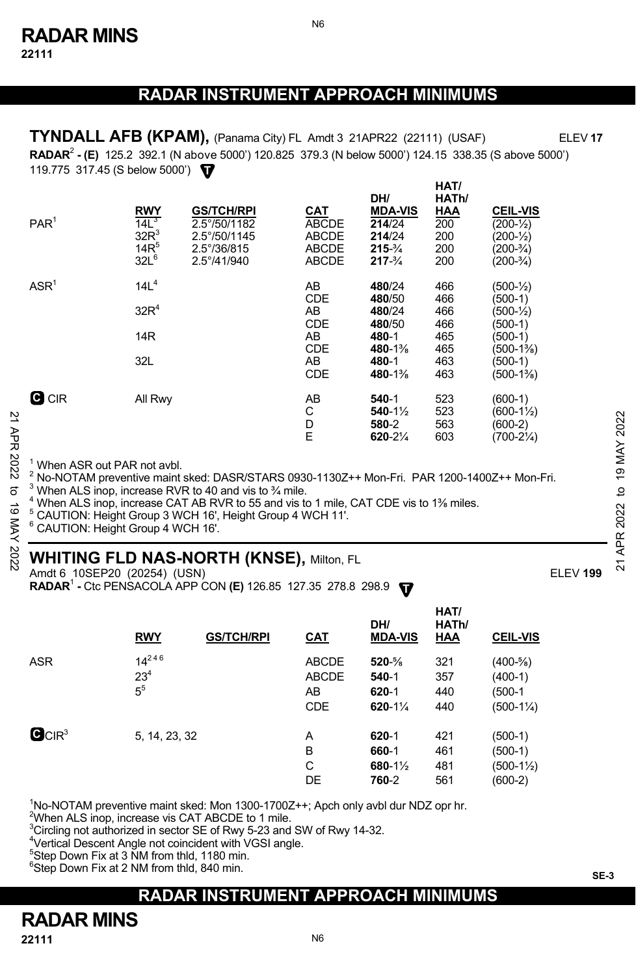N6

 **RADAR**<sup>2</sup>  **- (E)** 125.2 392.1 (N above 5000') 120.825 379.3 (N below 5000') 124.15 338.35 (S above 5000') **T** 119.775 317.45 (S below 5000') **TYNDALL AFB (KPAM),** (Panama City) FL Amdt 3 21APR22 (22111) (USAF) ELEV **17**

**HAT/**

|               | PAR <sup>1</sup>                                                                                                                                                                                                                                                                                                                                                                                                                                                             | <b>RWY</b><br>14L <sup>3</sup><br>$32R^3$<br>$14R^5$<br>$32L^6$ | <b>GS/TCH/RPI</b><br>2.5°/50/1182<br>2.5°/50/1145<br>$2.5^{\circ}/36/815$<br>2.5°/41/940 | CAT<br><b>ABCDE</b><br><b>ABCDE</b><br><b>ABCDE</b><br><b>ABCDE</b> | DH/<br><b>MDA-VIS</b><br>214/24<br>214/24<br>$215 - \frac{3}{4}$<br>$217 - \frac{3}{4}$               | HAI/<br>HATh/<br>HAA<br>200<br>200<br>200<br>200     | <b>CEIL-VIS</b><br>$(200 - \frac{1}{2})$<br>$(200 - \frac{1}{2})$<br>$(200-3/4)$<br>$(200-3/4)$                             |             |  |  |
|---------------|------------------------------------------------------------------------------------------------------------------------------------------------------------------------------------------------------------------------------------------------------------------------------------------------------------------------------------------------------------------------------------------------------------------------------------------------------------------------------|-----------------------------------------------------------------|------------------------------------------------------------------------------------------|---------------------------------------------------------------------|-------------------------------------------------------------------------------------------------------|------------------------------------------------------|-----------------------------------------------------------------------------------------------------------------------------|-------------|--|--|
|               | ASR <sup>1</sup>                                                                                                                                                                                                                                                                                                                                                                                                                                                             | 14L <sup>4</sup><br>32R <sup>4</sup><br>14 <sub>R</sub><br>32L  |                                                                                          | AB<br><b>CDE</b><br>AB<br>CDE<br>AB<br><b>CDE</b><br>AB<br>CDE      | 480/24<br>480/50<br>480/24<br>480/50<br>480-1<br>480-1 <sup>3</sup> / <sub>8</sub><br>480-1<br>480-1% | 466<br>466<br>466<br>466<br>465<br>465<br>463<br>463 | $(500 - \frac{1}{2})$<br>(500-1)<br>$(500 - \frac{1}{2})$<br>$(500-1)$<br>$(500-1)$<br>(500-1%)<br>$(500-1)$<br>$(500-1\%)$ |             |  |  |
| 21 APR 2022   | <b>G</b> CIR                                                                                                                                                                                                                                                                                                                                                                                                                                                                 | All Rwy                                                         |                                                                                          | AB<br>C<br>D<br>E                                                   | $540-1$<br>$540 - 1\frac{1}{2}$<br>580-2<br>$620 - 2\frac{1}{4}$                                      | 523<br>523<br>563<br>603                             | $(600-1)$<br>$(600-1\frac{1}{2})$<br>$(600-2)$<br>$(700-2\frac{1}{4})$                                                      | 2022<br>MAY |  |  |
| ಕ<br>ಠ<br>NAY | <sup>1</sup> When ASR out PAR not avbl.<br>$^2$ No-NOTAM preventive maint sked: DASR/STARS 0930-1130Z++ Mon-Fri. PAR 1200-1400Z++ Mon-Fri.<br>$3$ When ALS inop, increase RVR to 40 and vis to $\frac{3}{4}$ mile.<br><sup>4</sup> When ALS inop, increase CAT AB RVR to 55 and vis to 1 mile, CAT CDE vis to 1 <sup>3</sup> / <sub>8</sub> miles.<br><sup>5</sup> CAUTION: Height Group 3 WCH 16', Height Group 4 WCH 11'.<br><sup>6</sup> CAUTION: Height Group 4 WCH 16'. |                                                                 |                                                                                          |                                                                     |                                                                                                       |                                                      |                                                                                                                             |             |  |  |
| 202           | APR.<br><b>WHITING FLD NAS-NORTH (KNSE), Milton, FL</b><br>ম                                                                                                                                                                                                                                                                                                                                                                                                                 |                                                                 |                                                                                          |                                                                     |                                                                                                       |                                                      |                                                                                                                             |             |  |  |

# **WHITING FLD NAS-NORTH (KNSE),** Milton, FL

Amdt 6 10SEP20 (20254) (USN)ELEV **199**

**RADAR<sup>1</sup> - Ctc PENSACOLA APP CON (E)** 126.85 127.35 278.8 298.9  $\blacksquare$ 

|                               | <b>RWY</b>                      | <b>GS/TCH/RPI</b> | <u>CAT</u>                                       | DH/<br><b>MDA-VIS</b>                                    | HAT/<br>HATh/<br><b>HAA</b> | <b>CEIL-VIS</b>                                            |
|-------------------------------|---------------------------------|-------------------|--------------------------------------------------|----------------------------------------------------------|-----------------------------|------------------------------------------------------------|
| <b>ASR</b>                    | $14^{246}$<br>$23^{4}$<br>$5^5$ |                   | <b>ABCDE</b><br><b>ABCDE</b><br>AB<br><b>CDE</b> | $520 - \frac{5}{8}$<br>540-1<br>$620 - 1$<br>$620 - 1\%$ | 321<br>357<br>440<br>440    | $(400-5/8)$<br>$(400-1)$<br>(500-1<br>$(500-1\frac{1}{4})$ |
| $\mathbf{G}$ CIR <sup>3</sup> | 5, 14, 23, 32                   |                   | A<br>в<br>C<br>DE                                | $620 - 1$<br>660-1<br>680-1½<br>760-2                    | 421<br>461<br>481<br>561    | (500-1)<br>(500-1)<br>$(500-1\frac{1}{2})$<br>$(600-2)$    |

<sup>1</sup>No-NOTAM preventive maint sked: Mon 1300-1700Z++; Apch only avbl dur NDZ opr hr.

<sup>2</sup>When ALS inop, increase vis CAT ABCDE to 1 mile.

 $\rm{^{3}C}$ ircling not authorized in sector SE of Rwy 5-23 and SW of Rwy 14-32.

 $\frac{4}{3}$ Vertical Descent Angle not coincident with VGSI angle.

<sup>5</sup>Step Down Fix at 3 NM from thld, 1180 min.

6 Step Down Fix at 2 NM from thld, 840 min.

# **RADAR INSTRUMENT APPROACH MINIMUMS**

**RADAR MINS**